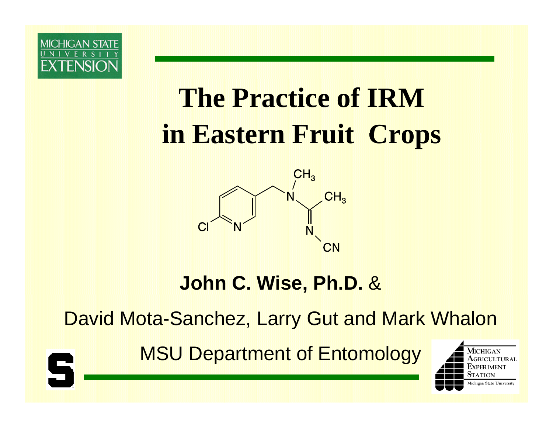

S

# **The Practice of IRMin Eastern Fruit Crops**



#### **John C. Wise, Ph.D.**  &

David Mota-Sanchez, Larry Gut and Mark Whalon

MSU Department of Entomology

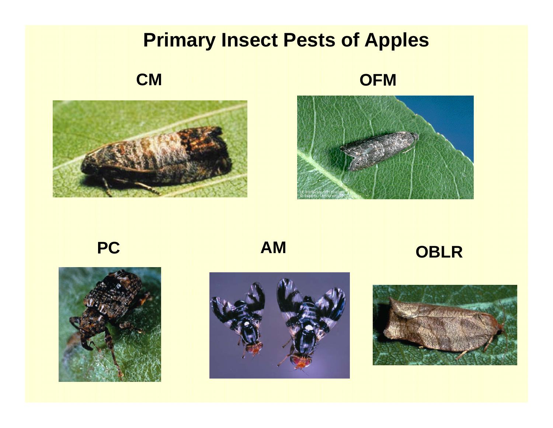#### **Primary Insect Pests of Apples**

**CM**







**PC** 



**A M**

#### **OBLR**



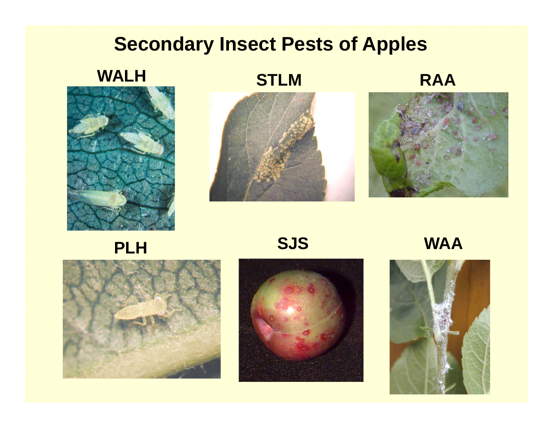#### **Secondary Insect Pests of Apples**

**WALH**



**STLM**

**RAA**





**PLH SJS WAA**





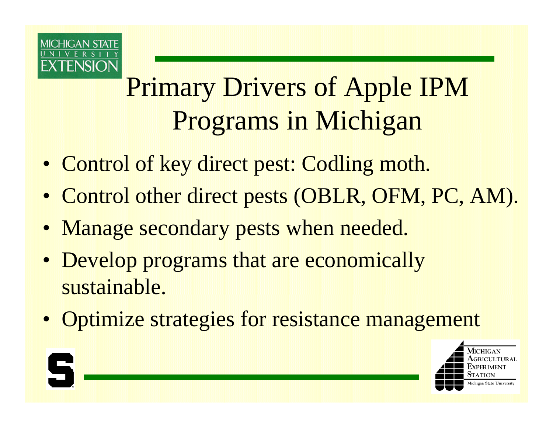

# Primary Drivers of Apple IPM Programs in Michigan

- Control of key direct pest: Codling moth.
- Control other direct pests (OBLR, OFM, PC, AM).
- Manage secondary pests when needed.
- Develop programs that are economically sustainable.
- Optimize strategies for resistance management

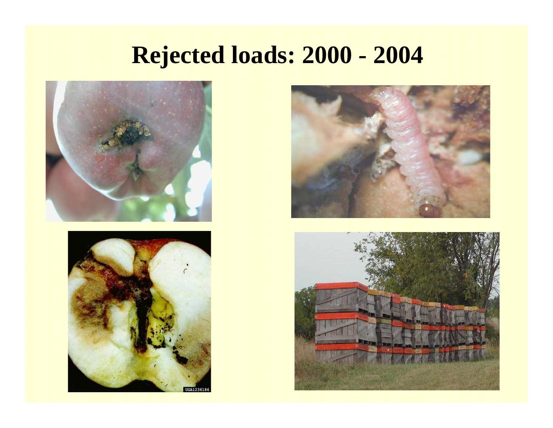## **Rejected loads: 2000 - 2004**







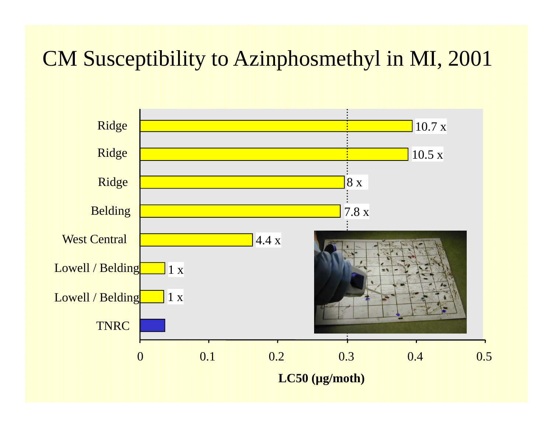## CM Susceptibility to Azinphosmethyl in MI, 2001

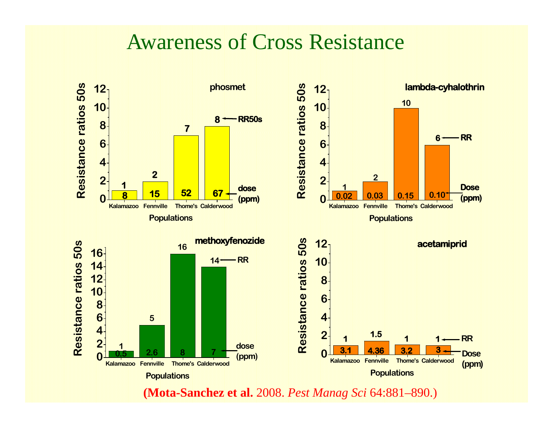#### Awareness of Cross Resistance



**(Mota-Sanchez et al.** 2008. *Pest Manag Sci* 64:881–890.)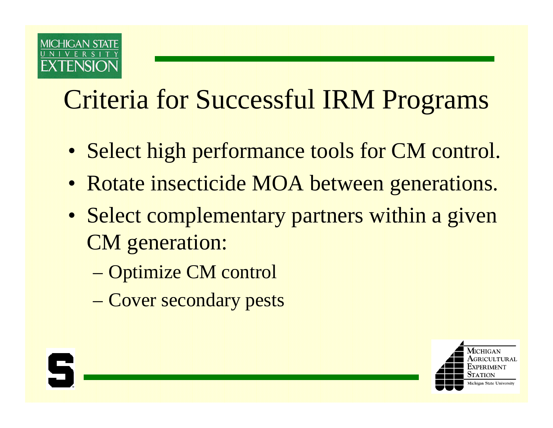

# Criteria for Successful IRM Programs

- Select high performance tools for CM control.
- Rotate insecticide MOA between generations.
- Select complementary partners within a given CM generation:
	- Optimize CM control
	- Cover secondary pests

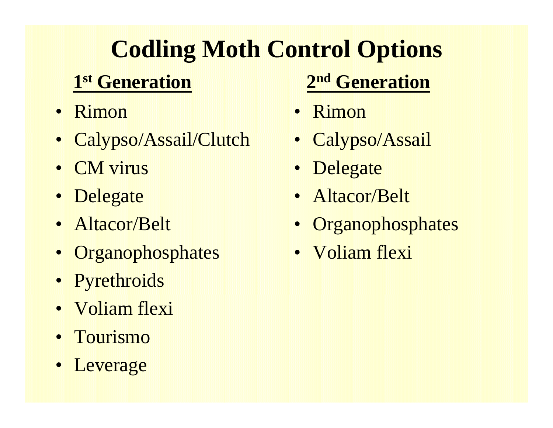# **Codling Moth Control Options**

## **1st G ti Generation**

- Rimon
- Calypso/Assail/Clutch
- CM virus
- Delegate
- Altacor/Belt
- Organophosphates
- Pyrethroids
- Voliam flexi
- Tourismo
- Leverage

## **2nd G ti Generation**

- Rimon
- Calypso/Assail • Calypso/Assail<br>• Delegate
- Delegate
- Altacor/Belt
- Organophosphates
- Voliam flexi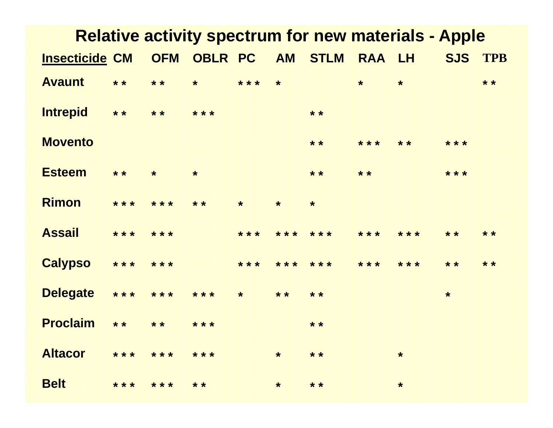| <b>OFM</b><br><b>OBLR PC</b><br><b>AM STLM</b><br>RAA LH<br><b>SJS</b><br><b>TPB</b><br><b>Insecticide CM</b><br><b>Avaunt</b><br>$* *$<br>$* *$<br>* * *<br>$\star$<br>$\star$<br>$* *$<br>$\star$<br>$\star$<br><b>Intrepid</b><br>$* *$<br>$* *$<br>* * *<br>$* *$<br><b>Movento</b><br>* * *<br>$* *$<br>* * *<br>$* *$<br><b>Esteem</b><br>$* *$<br>$* *$<br>* * *<br>$* *$<br>$\star$<br>$\star$<br><b>Rimon</b><br>* * *<br>* * *<br>$* *$<br>$\star$<br>$\star$<br>$\star$<br><b>Assail</b><br>* * *<br>* * *<br>* * *<br>* * *<br>* * *<br>* * *<br>* * *<br>$* *$<br>$* *$<br><b>Calypso</b><br>* * *<br>* * *<br>* * *<br>* * *<br>* * * *<br>* * *<br>$* *$<br>* * *<br>$* *$<br><b>Delegate</b><br>$***$<br>* * *<br>* * *<br>$\pmb{\star}$<br>$* *$<br>$* *$<br>$\pmb{\star}$<br><b>Proclaim</b><br>$* *$<br>$* *$<br>* * *<br>$* *$<br><b>Altacor</b><br>*** ***<br>$***$<br>$* *$<br>$\star$<br>$\ast$ | <b>Relative activity spectrum for new materials - Apple</b> |       |       |       |  |         |       |  |         |  |  |
|------------------------------------------------------------------------------------------------------------------------------------------------------------------------------------------------------------------------------------------------------------------------------------------------------------------------------------------------------------------------------------------------------------------------------------------------------------------------------------------------------------------------------------------------------------------------------------------------------------------------------------------------------------------------------------------------------------------------------------------------------------------------------------------------------------------------------------------------------------------------------------------------------------------------|-------------------------------------------------------------|-------|-------|-------|--|---------|-------|--|---------|--|--|
|                                                                                                                                                                                                                                                                                                                                                                                                                                                                                                                                                                                                                                                                                                                                                                                                                                                                                                                        |                                                             |       |       |       |  |         |       |  |         |  |  |
|                                                                                                                                                                                                                                                                                                                                                                                                                                                                                                                                                                                                                                                                                                                                                                                                                                                                                                                        |                                                             |       |       |       |  |         |       |  |         |  |  |
|                                                                                                                                                                                                                                                                                                                                                                                                                                                                                                                                                                                                                                                                                                                                                                                                                                                                                                                        |                                                             |       |       |       |  |         |       |  |         |  |  |
|                                                                                                                                                                                                                                                                                                                                                                                                                                                                                                                                                                                                                                                                                                                                                                                                                                                                                                                        |                                                             |       |       |       |  |         |       |  |         |  |  |
|                                                                                                                                                                                                                                                                                                                                                                                                                                                                                                                                                                                                                                                                                                                                                                                                                                                                                                                        |                                                             |       |       |       |  |         |       |  |         |  |  |
|                                                                                                                                                                                                                                                                                                                                                                                                                                                                                                                                                                                                                                                                                                                                                                                                                                                                                                                        |                                                             |       |       |       |  |         |       |  |         |  |  |
|                                                                                                                                                                                                                                                                                                                                                                                                                                                                                                                                                                                                                                                                                                                                                                                                                                                                                                                        |                                                             |       |       |       |  |         |       |  |         |  |  |
|                                                                                                                                                                                                                                                                                                                                                                                                                                                                                                                                                                                                                                                                                                                                                                                                                                                                                                                        |                                                             |       |       |       |  |         |       |  |         |  |  |
|                                                                                                                                                                                                                                                                                                                                                                                                                                                                                                                                                                                                                                                                                                                                                                                                                                                                                                                        |                                                             |       |       |       |  |         |       |  |         |  |  |
|                                                                                                                                                                                                                                                                                                                                                                                                                                                                                                                                                                                                                                                                                                                                                                                                                                                                                                                        |                                                             |       |       |       |  |         |       |  |         |  |  |
|                                                                                                                                                                                                                                                                                                                                                                                                                                                                                                                                                                                                                                                                                                                                                                                                                                                                                                                        | <b>Belt</b>                                                 | * * * | * * * | $* *$ |  | $\star$ | $* *$ |  | $\star$ |  |  |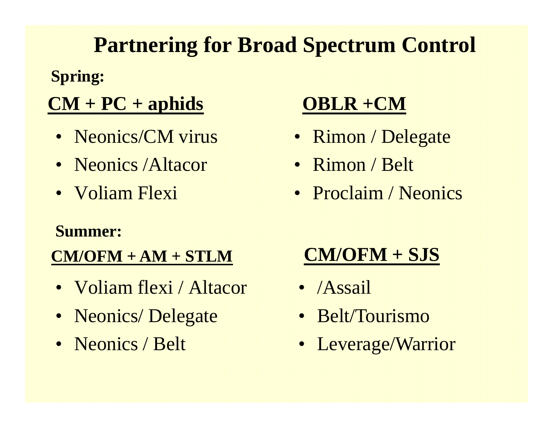## **Partnering for Broad Spectrum Control**

#### **Spring:**

### $CM + PC + aphids$

- Neonics/CM virus
- Neonics / Altacor
- Voliam Flexi

#### **Summer:**

#### $CM/OFM + AM + STLM$

- Voliam flexi / Altacor
- Neonics/Delegate
- Neonics / Belt

#### **OBLR +CM**

- Rimon / Delegate
- Rimon / Belt
- Proclaim / Neonics

## $CM/OFM + SJS$

- $\bullet$  /Assail
- Belt/Tourismo
- Leverage/Warrior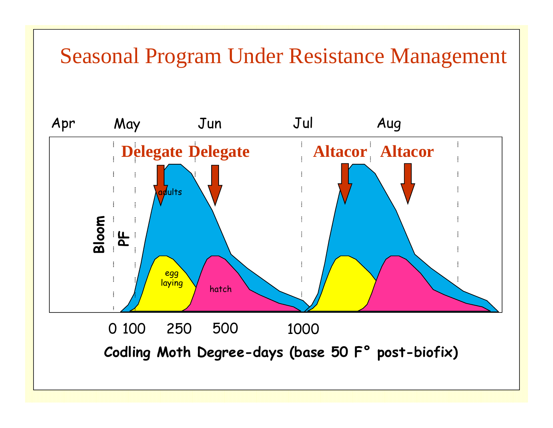### Seasonal Program Under Resistance Management

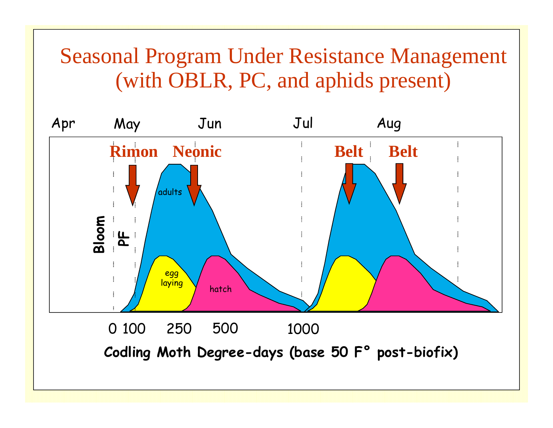## Seasonal Program Under Resistance Management (with OBLR, PC, and aphids present)

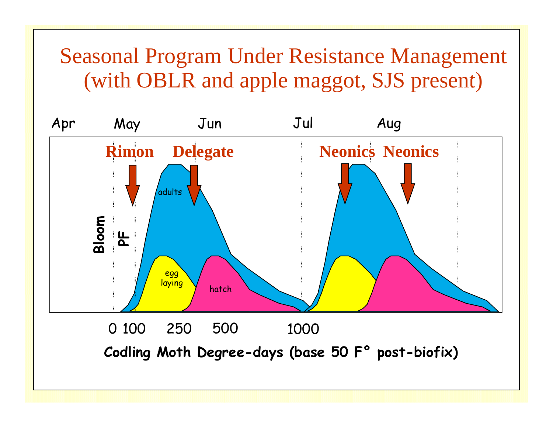## **Seasonal Program Under Resistance Management** (with OBLR and apple maggot, SJS present)

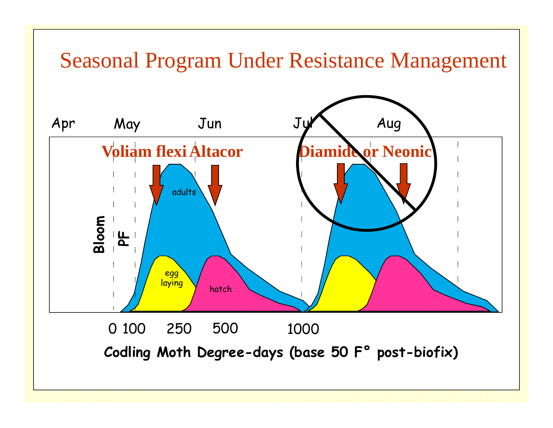## **Seasonal Program Under Resistance Management**

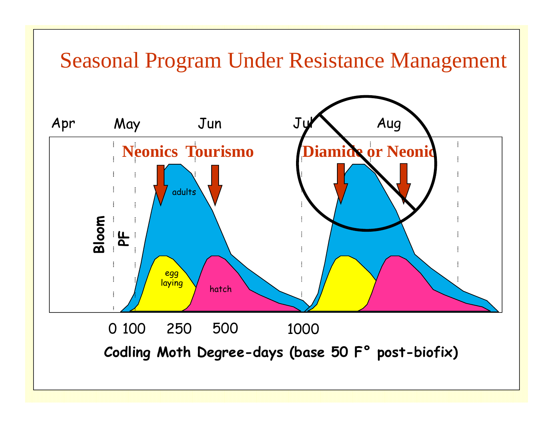## **Seasonal Program Under Resistance Management**

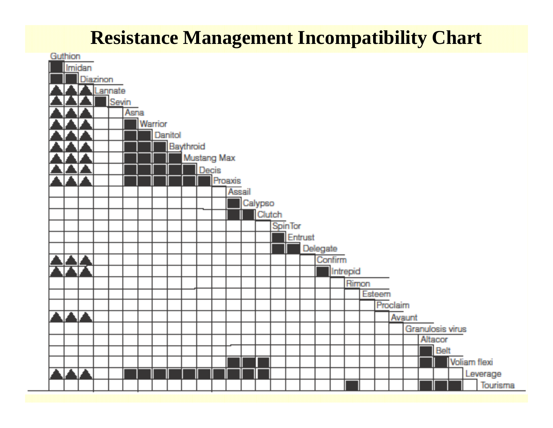#### **Resistance Management Incompatibility Chart**

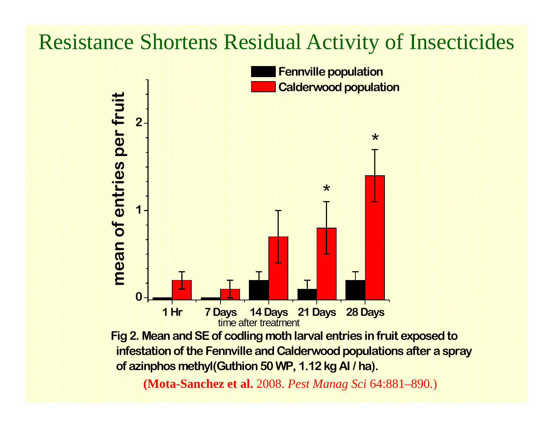## Resistance Shortens Residual Activity of Insecticides

![](_page_17_Figure_1.jpeg)

**Fig 2. Mean and SE of codling moth larval entries in fruit exposed to** infestation of the Fennville and Calderwood populations after a spray  **of azinphos methyl(Guthion 50 WP, 1.12 kg AI / ha).**

**(Mota-Sanchez et al.** 2008. *Pest Manag Sci* 64:881–890.)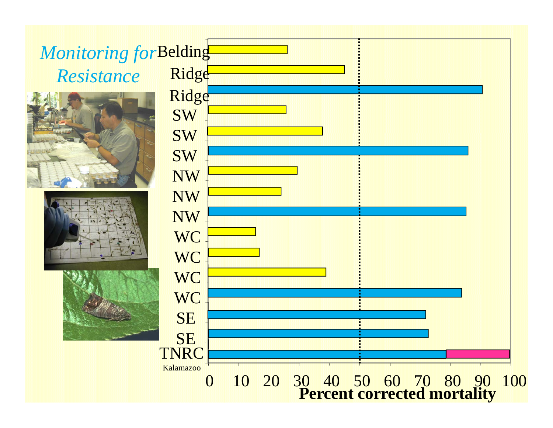#### Ridge *Monitoring for* Belding *Resistance* **SW**  $\mathbf{SW}$ Ridge NW $\textbf{SW}$ **WC** NW NW **WC WC WC** TNRC $\operatorname{SE}$  $\operatorname{SE}$ 0 10 20 30 40 50 60 70 80 90 100 Kalamazoo**Percent corrected mortality**